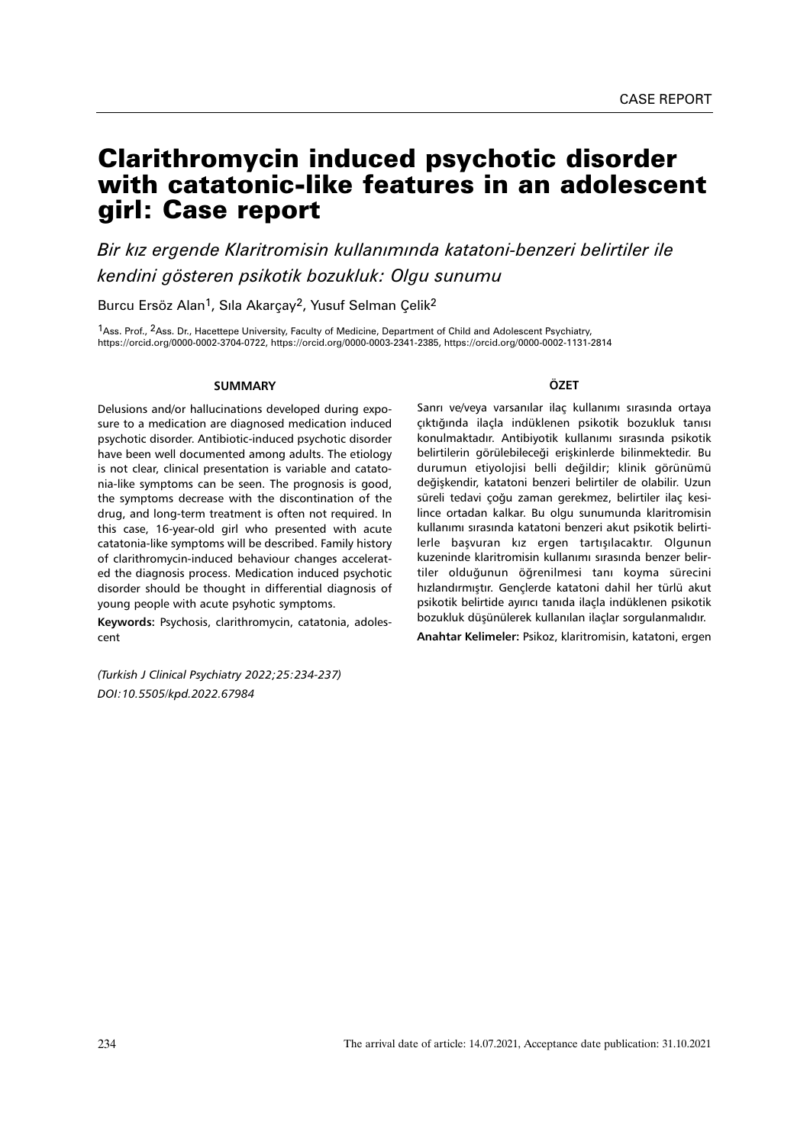# Clarithromycin induced psychotic disorder with catatonic-like features in an adolescent girl: Case report

*Bir kız ergende Klaritromisin kullanımında katatoni-benzeri belirtiler ile kendini gösteren psikotik bozukluk: Olgu sunumu*

Burcu Ersöz Alan<sup>1</sup>, Sıla Akarçay<sup>2</sup>, Yusuf Selman Çelik<sup>2</sup>

<sup>1</sup>Ass. Prof., <sup>2</sup>Ass. Dr., Hacettepe University, Faculty of Medicine, Department of Child and Adolescent Psychiatry, https://orcid.org/0000-0002-3704-0722, https://orcid.org/0000-0003-2341-2385, https://orcid.org/0000-0002-1131-2814

## **SUMMARY**

Delusions and/or hallucinations developed during exposure to a medication are diagnosed medication induced psychotic disorder. Antibiotic-induced psychotic disorder have been well documented among adults. The etiology is not clear, clinical presentation is variable and catatonia-like symptoms can be seen. The prognosis is good, the symptoms decrease with the discontination of the drug, and long-term treatment is often not required. In this case, 16-year-old girl who presented with acute catatonia-like symptoms will be described. Family history of clarithromycin-induced behaviour changes accelerated the diagnosis process. Medication induced psychotic disorder should be thought in differential diagnosis of young people with acute psyhotic symptoms.

**Keywords:** Psychosis, clarithromycin, catatonia, adolescent

*(Turkish J Clinical Psychiatry 2022;25:234-237) DOI:10.5505/kpd.2022.67984*

## **ÖZET**

Sanrı ve/veya varsanılar ilaç kullanımı sırasında ortaya çıktığında ilaçla indüklenen psikotik bozukluk tanısı konulmaktadır. Antibiyotik kullanımı sırasında psikotik belirtilerin görülebileceği erişkinlerde bilinmektedir. Bu durumun etiyolojisi belli değildir; klinik görünümü değişkendir, katatoni benzeri belirtiler de olabilir. Uzun süreli tedavi çoğu zaman gerekmez, belirtiler ilaç kesilince ortadan kalkar. Bu olgu sunumunda klaritromisin kullanımı sırasında katatoni benzeri akut psikotik belirtilerle başvuran kız ergen tartışılacaktır. Olgunun kuzeninde klaritromisin kullanımı sırasında benzer belirtiler olduğunun öğrenilmesi tanı koyma sürecini hızlandırmıştır. Gençlerde katatoni dahil her türlü akut psikotik belirtide ayırıcı tanıda ilaçla indüklenen psikotik bozukluk düşünülerek kullanılan ilaçlar sorgulanmalıdır.

**Anahtar Kelimeler:** Psikoz, klaritromisin, katatoni, ergen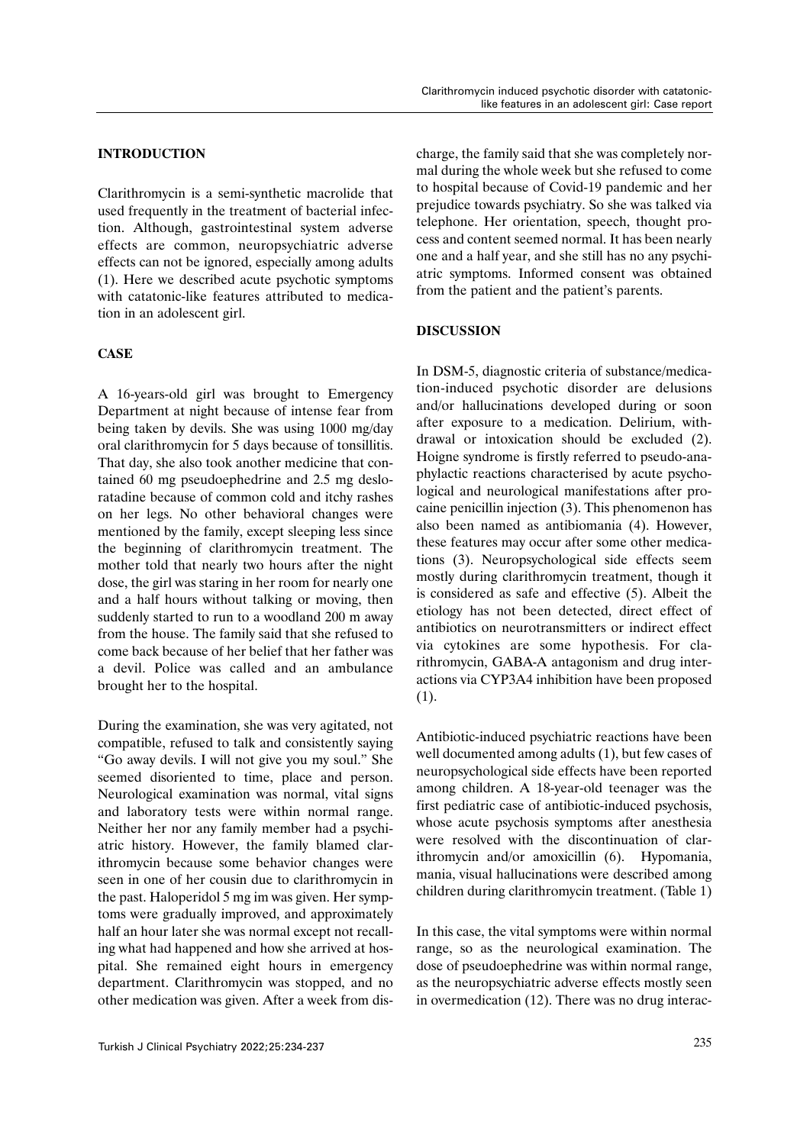## **INTRODUCTION**

Clarithromycin is a semi-synthetic macrolide that used frequently in the treatment of bacterial infection. Although, gastrointestinal system adverse effects are common, neuropsychiatric adverse effects can not be ignored, especially among adults (1). Here we described acute psychotic symptoms with catatonic-like features attributed to medication in an adolescent girl.

## **CASE**

A 16-years-old girl was brought to Emergency Department at night because of intense fear from being taken by devils. She was using 1000 mg/day oral clarithromycin for 5 days because of tonsillitis. That day, she also took another medicine that contained 60 mg pseudoephedrine and 2.5 mg desloratadine because of common cold and itchy rashes on her legs. No other behavioral changes were mentioned by the family, except sleeping less since the beginning of clarithromycin treatment. The mother told that nearly two hours after the night dose, the girl was staring in her room for nearly one and a half hours without talking or moving, then suddenly started to run to a woodland 200 m away from the house. The family said that she refused to come back because of her belief that her father was a devil. Police was called and an ambulance brought her to the hospital.

During the examination, she was very agitated, not compatible, refused to talk and consistently saying "Go away devils. I will not give you my soul." She seemed disoriented to time, place and person. Neurological examination was normal, vital signs and laboratory tests were within normal range. Neither her nor any family member had a psychiatric history. However, the family blamed clarithromycin because some behavior changes were seen in one of her cousin due to clarithromycin in the past. Haloperidol 5 mg im was given. Her symptoms were gradually improved, and approximately half an hour later she was normal except not recalling what had happened and how she arrived at hospital. She remained eight hours in emergency department. Clarithromycin was stopped, and no other medication was given. After a week from discharge, the family said that she was completely normal during the whole week but she refused to come to hospital because of Covid-19 pandemic and her prejudice towards psychiatry. So she was talked via telephone. Her orientation, speech, thought process and content seemed normal. It has been nearly one and a half year, and she still has no any psychiatric symptoms. Informed consent was obtained from the patient and the patient's parents.

## **DISCUSSION**

In DSM-5, diagnostic criteria of substance/medication-induced psychotic disorder are delusions and/or hallucinations developed during or soon after exposure to a medication. Delirium, withdrawal or intoxication should be excluded (2). Hoigne syndrome is firstly referred to pseudo-anaphylactic reactions characterised by acute psychological and neurological manifestations after procaine penicillin injection (3). This phenomenon has also been named as antibiomania (4). However, these features may occur after some other medications (3). Neuropsychological side effects seem mostly during clarithromycin treatment, though it is considered as safe and effective (5). Albeit the etiology has not been detected, direct effect of antibiotics on neurotransmitters or indirect effect via cytokines are some hypothesis. For clarithromycin, GABA-A antagonism and drug interactions via CYP3A4 inhibition have been proposed (1).

Antibiotic-induced psychiatric reactions have been well documented among adults (1), but few cases of neuropsychological side effects have been reported among children. A 18-year-old teenager was the first pediatric case of antibiotic-induced psychosis, whose acute psychosis symptoms after anesthesia were resolved with the discontinuation of clarithromycin and/or amoxicillin (6). Hypomania, mania, visual hallucinations were described among children during clarithromycin treatment. (Table 1)

In this case, the vital symptoms were within normal range, so as the neurological examination. The dose of pseudoephedrine was within normal range, as the neuropsychiatric adverse effects mostly seen in overmedication (12). There was no drug interac-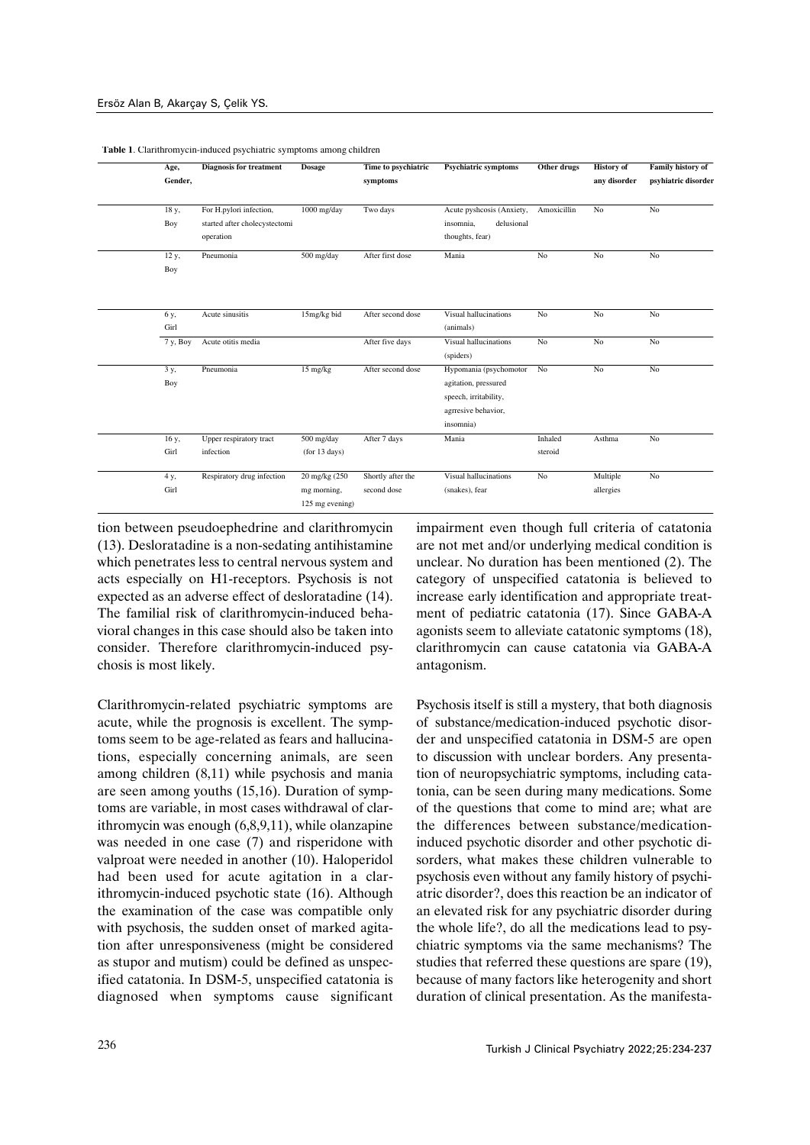| Age,     | <b>Diagnosis for treatment</b> | <b>Dosage</b>   | Time to psychiatric | <b>Psychiatric symptoms</b> | Other drugs | <b>History</b> of | Family history of   |
|----------|--------------------------------|-----------------|---------------------|-----------------------------|-------------|-------------------|---------------------|
| Gender,  |                                |                 | symptoms            |                             |             | any disorder      | psyhiatric disorder |
| 18 y,    | For H.pylori infection,        | 1000 mg/day     | Two days            | Acute pyshcosis (Anxiety,   | Amoxicillin | No                | No                  |
| Boy      | started after cholecystectomi  |                 |                     | insomnia,<br>delusional     |             |                   |                     |
|          | operation                      |                 |                     | thoughts, fear)             |             |                   |                     |
| 12 y,    | Pneumonia                      | 500 mg/day      | After first dose    | Mania                       | No          | No                | No                  |
| Boy      |                                |                 |                     |                             |             |                   |                     |
|          |                                |                 |                     |                             |             |                   |                     |
| 6 y,     | Acute sinusitis                | 15mg/kg bid     | After second dose   | Visual hallucinations       | No          | No                | N <sub>o</sub>      |
| Girl     |                                |                 |                     | (animals)                   |             |                   |                     |
| 7 y, Boy | Acute otitis media             |                 | After five days     | Visual hallucinations       | No          | No                | N <sub>o</sub>      |
|          |                                |                 |                     | (spiders)                   |             |                   |                     |
| 3 y,     | Pneumonia                      | 15 mg/kg        | After second dose   | Hypomania (psychomotor      | No          | No                | No                  |
| Boy      |                                |                 |                     | agitation, pressured        |             |                   |                     |
|          |                                |                 |                     | speech, irritability,       |             |                   |                     |
|          |                                |                 |                     | agrresive behavior,         |             |                   |                     |
|          |                                |                 |                     | insomnia)                   |             |                   |                     |
| 16 y,    | Upper respiratory tract        | 500 mg/day      | After 7 days        | Mania                       | Inhaled     | Asthma            | No                  |
| Girl     | infection                      | (for 13 days)   |                     |                             | steroid     |                   |                     |
| 4 y,     | Respiratory drug infection     | 20 mg/kg (250)  | Shortly after the   | Visual hallucinations       | No          | Multiple          | No                  |
| Girl     |                                | mg morning,     | second dose         | (snakes), fear              |             | allergies         |                     |
|          |                                | 125 mg evening) |                     |                             |             |                   |                     |

**Table 1**. Clarithromycin-induced psychiatric symptoms among children

tion between pseudoephedrine and clarithromycin (13). Desloratadine is a non-sedating antihistamine which penetrates less to central nervous system and acts especially on H1-receptors. Psychosis is not expected as an adverse effect of desloratadine (14). The familial risk of clarithromycin-induced behavioral changes in this case should also be taken into consider. Therefore clarithromycin-induced psychosis is most likely.

Clarithromycin-related psychiatric symptoms are acute, while the prognosis is excellent. The symptoms seem to be age-related as fears and hallucinations, especially concerning animals, are seen among children (8,11) while psychosis and mania are seen among youths (15,16). Duration of symptoms are variable, in most cases withdrawal of clarithromycin was enough (6,8,9,11), while olanzapine was needed in one case (7) and risperidone with valproat were needed in another (10). Haloperidol had been used for acute agitation in a clarithromycin-induced psychotic state (16). Although the examination of the case was compatible only with psychosis, the sudden onset of marked agitation after unresponsiveness (might be considered as stupor and mutism) could be defined as unspecified catatonia. In DSM-5, unspecified catatonia is diagnosed when symptoms cause significant impairment even though full criteria of catatonia are not met and/or underlying medical condition is unclear. No duration has been mentioned (2). The category of unspecified catatonia is believed to increase early identification and appropriate treatment of pediatric catatonia (17). Since GABA-A agonists seem to alleviate catatonic symptoms (18), clarithromycin can cause catatonia via GABA-A antagonism.

Psychosis itself is still a mystery, that both diagnosis of substance/medication-induced psychotic disorder and unspecified catatonia in DSM-5 are open to discussion with unclear borders. Any presentation of neuropsychiatric symptoms, including catatonia, can be seen during many medications. Some of the questions that come to mind are; what are the differences between substance/medicationinduced psychotic disorder and other psychotic disorders, what makes these children vulnerable to psychosis even without any family history of psychiatric disorder?, does this reaction be an indicator of an elevated risk for any psychiatric disorder during the whole life?, do all the medications lead to psychiatric symptoms via the same mechanisms? The studies that referred these questions are spare (19), because of many factors like heterogenity and short duration of clinical presentation. As the manifesta